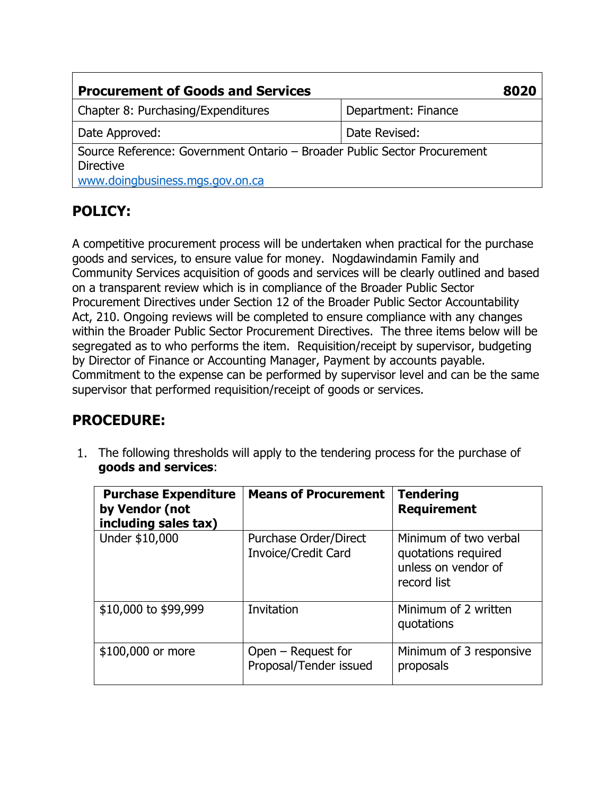| <b>Procurement of Goods and Services</b>                                                                                        |                     |  |
|---------------------------------------------------------------------------------------------------------------------------------|---------------------|--|
| Chapter 8: Purchasing/Expenditures                                                                                              | Department: Finance |  |
| Date Approved:                                                                                                                  | Date Revised:       |  |
| Source Reference: Government Ontario – Broader Public Sector Procurement<br><b>Directive</b><br>www.doingbusiness.mgs.gov.on.ca |                     |  |

# **POLICY:**

A competitive procurement process will be undertaken when practical for the purchase goods and services, to ensure value for money. Nogdawindamin Family and Community Services acquisition of goods and services will be clearly outlined and based on a transparent review which is in compliance of the Broader Public Sector Procurement Directives under Section 12 of the Broader Public Sector Accountability Act, 210. Ongoing reviews will be completed to ensure compliance with any changes within the Broader Public Sector Procurement Directives. The three items below will be segregated as to who performs the item. Requisition/receipt by supervisor, budgeting by Director of Finance or Accounting Manager, Payment by accounts payable. Commitment to the expense can be performed by supervisor level and can be the same supervisor that performed requisition/receipt of goods or services.

## **PROCEDURE:**

1. The following thresholds will apply to the tendering process for the purchase of **goods and services**:

| <b>Purchase Expenditure</b><br>by Vendor (not<br>including sales tax) | <b>Means of Procurement</b>                         | <b>Tendering</b><br><b>Requirement</b>                                             |
|-----------------------------------------------------------------------|-----------------------------------------------------|------------------------------------------------------------------------------------|
| Under \$10,000                                                        | Purchase Order/Direct<br><b>Invoice/Credit Card</b> | Minimum of two verbal<br>quotations required<br>unless on vendor of<br>record list |
| \$10,000 to \$99,999                                                  | Invitation                                          | Minimum of 2 written<br>quotations                                                 |
| \$100,000 or more                                                     | Open – Request for<br>Proposal/Tender issued        | Minimum of 3 responsive<br>proposals                                               |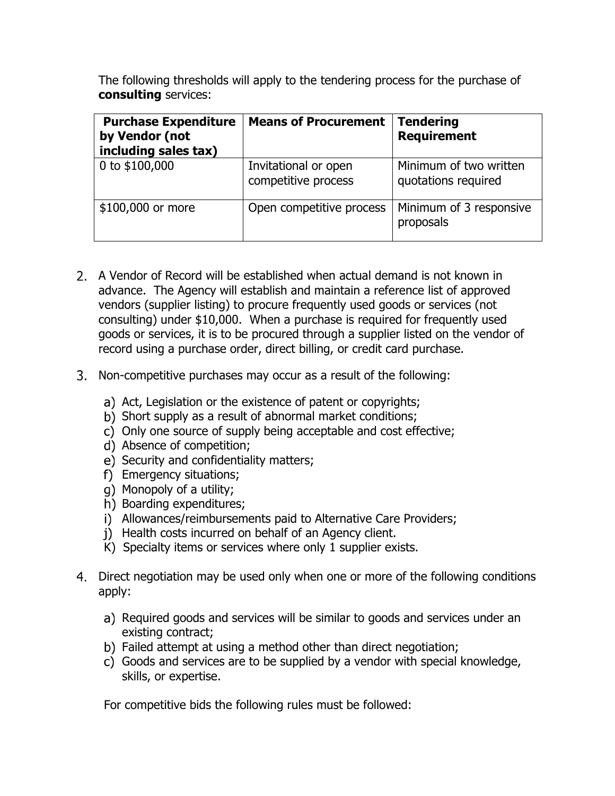The following thresholds will apply to the tendering process for the purchase of **consulting** services:

| <b>Purchase Expenditure</b><br>by Vendor (not<br>including sales tax) | <b>Means of Procurement</b>                 | <b>Tendering</b><br><b>Requirement</b>        |
|-----------------------------------------------------------------------|---------------------------------------------|-----------------------------------------------|
| 0 to \$100,000                                                        | Invitational or open<br>competitive process | Minimum of two written<br>quotations required |
| \$100,000 or more                                                     | Open competitive process                    | Minimum of 3 responsive<br>proposals          |

- A Vendor of Record will be established when actual demand is not known in advance. The Agency will establish and maintain a reference list of approved vendors (supplier listing) to procure frequently used goods or services (not consulting) under \$10,000. When a purchase is required for frequently used goods or services, it is to be procured through a supplier listed on the vendor of record using a purchase order, direct billing, or credit card purchase.
- Non-competitive purchases may occur as a result of the following:
	- a) Act, Legislation or the existence of patent or copyrights;
	- b) Short supply as a result of abnormal market conditions;
	- c) Only one source of supply being acceptable and cost effective;
	- d) Absence of competition;
	- e) Security and confidentiality matters;
	- f) Emergency situations;
	- Monopoly of a utility;
	- h) Boarding expenditures;
	- i) Allowances/reimbursements paid to Alternative Care Providers;
	- i) Health costs incurred on behalf of an Agency client.
	- K) Specialty items or services where only 1 supplier exists.
- Direct negotiation may be used only when one or more of the following conditions apply:
	- a) Required goods and services will be similar to goods and services under an existing contract;
	- b) Failed attempt at using a method other than direct negotiation;
	- Goods and services are to be supplied by a vendor with special knowledge, skills, or expertise.

For competitive bids the following rules must be followed: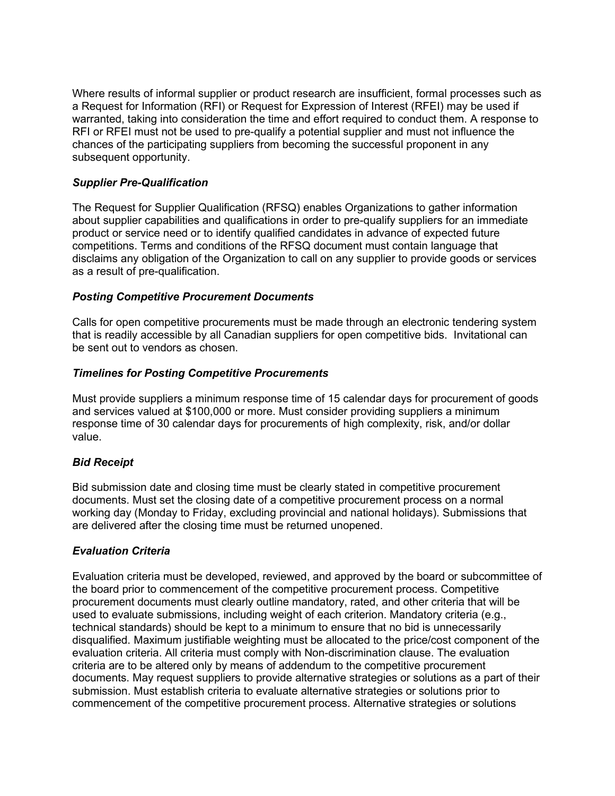Where results of informal supplier or product research are insufficient, formal processes such as a Request for Information (RFI) or Request for Expression of Interest (RFEI) may be used if warranted, taking into consideration the time and effort required to conduct them. A response to RFI or RFEI must not be used to pre-qualify a potential supplier and must not influence the chances of the participating suppliers from becoming the successful proponent in any subsequent opportunity.

## *Supplier Pre-Qualification*

The Request for Supplier Qualification (RFSQ) enables Organizations to gather information about supplier capabilities and qualifications in order to pre-qualify suppliers for an immediate product or service need or to identify qualified candidates in advance of expected future competitions. Terms and conditions of the RFSQ document must contain language that disclaims any obligation of the Organization to call on any supplier to provide goods or services as a result of pre-qualification.

## *Posting Competitive Procurement Documents*

Calls for open competitive procurements must be made through an electronic tendering system that is readily accessible by all Canadian suppliers for open competitive bids. Invitational can be sent out to vendors as chosen.

## *Timelines for Posting Competitive Procurements*

Must provide suppliers a minimum response time of 15 calendar days for procurement of goods and services valued at \$100,000 or more. Must consider providing suppliers a minimum response time of 30 calendar days for procurements of high complexity, risk, and/or dollar value.

## *Bid Receipt*

Bid submission date and closing time must be clearly stated in competitive procurement documents. Must set the closing date of a competitive procurement process on a normal working day (Monday to Friday, excluding provincial and national holidays). Submissions that are delivered after the closing time must be returned unopened.

## *Evaluation Criteria*

Evaluation criteria must be developed, reviewed, and approved by the board or subcommittee of the board prior to commencement of the competitive procurement process. Competitive procurement documents must clearly outline mandatory, rated, and other criteria that will be used to evaluate submissions, including weight of each criterion. Mandatory criteria (e.g., technical standards) should be kept to a minimum to ensure that no bid is unnecessarily disqualified. Maximum justifiable weighting must be allocated to the price/cost component of the evaluation criteria. All criteria must comply with Non-discrimination clause. The evaluation criteria are to be altered only by means of addendum to the competitive procurement documents. May request suppliers to provide alternative strategies or solutions as a part of their submission. Must establish criteria to evaluate alternative strategies or solutions prior to commencement of the competitive procurement process. Alternative strategies or solutions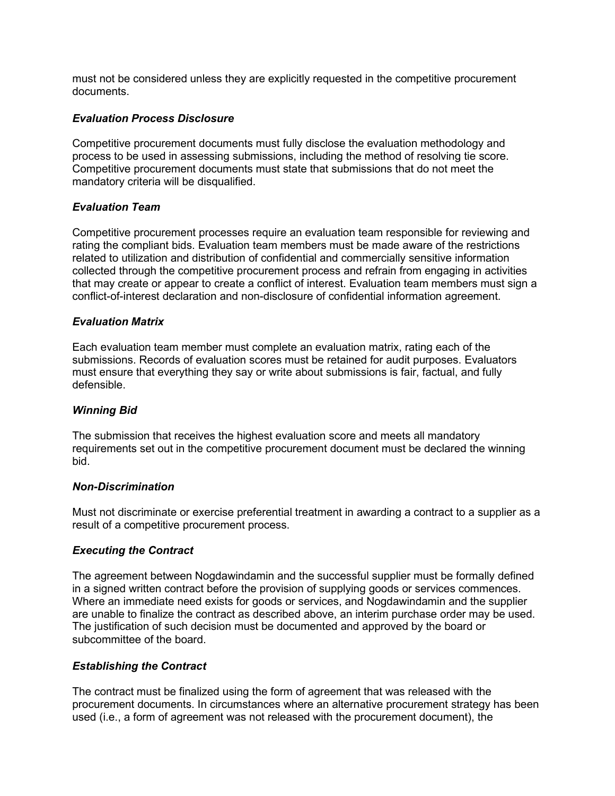must not be considered unless they are explicitly requested in the competitive procurement documents.

## *Evaluation Process Disclosure*

Competitive procurement documents must fully disclose the evaluation methodology and process to be used in assessing submissions, including the method of resolving tie score. Competitive procurement documents must state that submissions that do not meet the mandatory criteria will be disqualified.

### *Evaluation Team*

Competitive procurement processes require an evaluation team responsible for reviewing and rating the compliant bids. Evaluation team members must be made aware of the restrictions related to utilization and distribution of confidential and commercially sensitive information collected through the competitive procurement process and refrain from engaging in activities that may create or appear to create a conflict of interest. Evaluation team members must sign a conflict-of-interest declaration and non-disclosure of confidential information agreement.

### *Evaluation Matrix*

Each evaluation team member must complete an evaluation matrix, rating each of the submissions. Records of evaluation scores must be retained for audit purposes. Evaluators must ensure that everything they say or write about submissions is fair, factual, and fully defensible.

#### *Winning Bid*

The submission that receives the highest evaluation score and meets all mandatory requirements set out in the competitive procurement document must be declared the winning bid.

#### *Non-Discrimination*

Must not discriminate or exercise preferential treatment in awarding a contract to a supplier as a result of a competitive procurement process.

#### *Executing the Contract*

The agreement between Nogdawindamin and the successful supplier must be formally defined in a signed written contract before the provision of supplying goods or services commences. Where an immediate need exists for goods or services, and Nogdawindamin and the supplier are unable to finalize the contract as described above, an interim purchase order may be used. The justification of such decision must be documented and approved by the board or subcommittee of the board.

#### *Establishing the Contract*

The contract must be finalized using the form of agreement that was released with the procurement documents. In circumstances where an alternative procurement strategy has been used (i.e., a form of agreement was not released with the procurement document), the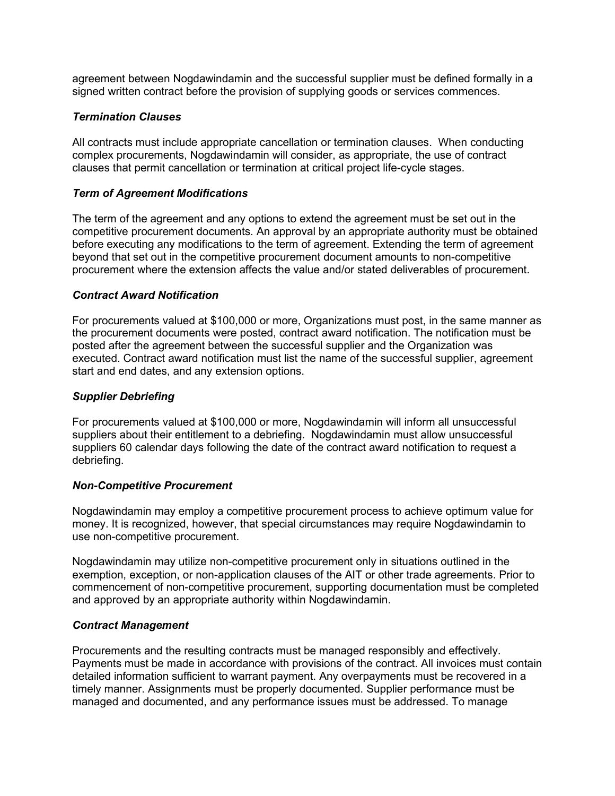agreement between Nogdawindamin and the successful supplier must be defined formally in a signed written contract before the provision of supplying goods or services commences.

## *Termination Clauses*

All contracts must include appropriate cancellation or termination clauses. When conducting complex procurements, Nogdawindamin will consider, as appropriate, the use of contract clauses that permit cancellation or termination at critical project life-cycle stages.

## *Term of Agreement Modifications*

The term of the agreement and any options to extend the agreement must be set out in the competitive procurement documents. An approval by an appropriate authority must be obtained before executing any modifications to the term of agreement. Extending the term of agreement beyond that set out in the competitive procurement document amounts to non-competitive procurement where the extension affects the value and/or stated deliverables of procurement.

## *Contract Award Notification*

For procurements valued at \$100,000 or more, Organizations must post, in the same manner as the procurement documents were posted, contract award notification. The notification must be posted after the agreement between the successful supplier and the Organization was executed. Contract award notification must list the name of the successful supplier, agreement start and end dates, and any extension options.

## *Supplier Debriefing*

For procurements valued at \$100,000 or more, Nogdawindamin will inform all unsuccessful suppliers about their entitlement to a debriefing. Nogdawindamin must allow unsuccessful suppliers 60 calendar days following the date of the contract award notification to request a debriefing.

## *Non-Competitive Procurement*

Nogdawindamin may employ a competitive procurement process to achieve optimum value for money. It is recognized, however, that special circumstances may require Nogdawindamin to use non-competitive procurement.

Nogdawindamin may utilize non-competitive procurement only in situations outlined in the exemption, exception, or non-application clauses of the AIT or other trade agreements. Prior to commencement of non-competitive procurement, supporting documentation must be completed and approved by an appropriate authority within Nogdawindamin.

## *Contract Management*

Procurements and the resulting contracts must be managed responsibly and effectively. Payments must be made in accordance with provisions of the contract. All invoices must contain detailed information sufficient to warrant payment. Any overpayments must be recovered in a timely manner. Assignments must be properly documented. Supplier performance must be managed and documented, and any performance issues must be addressed. To manage